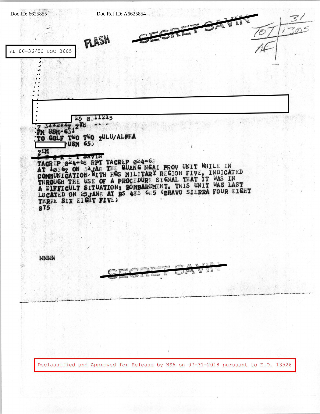

Declassified and Approved for Release by NSA on 07-31-2018 pursuant to E.O. 13526